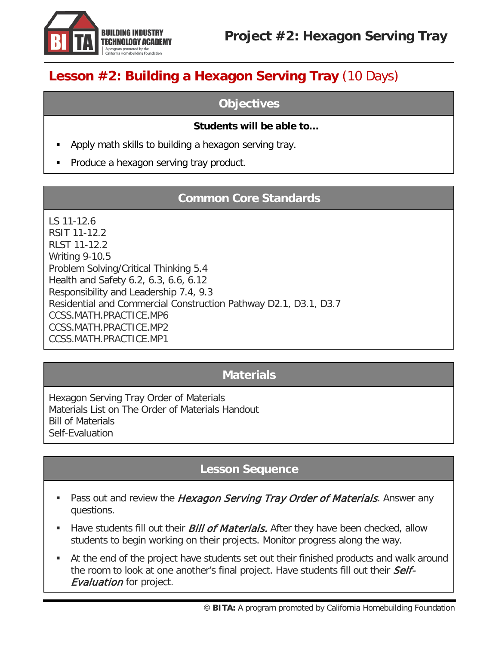

## **Lesson #2: Building a Hexagon Serving Tray** (10 Days)

### **Objectives**

#### **Students will be able to…**

- Apply math skills to building a hexagon serving tray.
- Produce a hexagon serving tray product.

## **Common Core Standards**

LS 11-12.6 RSIT 11-12.2 RLST 11-12.2 Writing 9-10.5 Problem Solving/Critical Thinking 5.4 Health and Safety 6.2, 6.3, 6.6, 6.12 Responsibility and Leadership 7.4, 9.3 Residential and Commercial Construction Pathway D2.1, D3.1, D3.7 [CCSS.MATH.PRACTICE.MP6](http://www.corestandards.org/Math/Practice/MP6/) [CCSS.MATH.PRACTICE.MP2](http://www.corestandards.org/Math/Practice/MP2/) [CCSS.MATH.PRACTICE.MP1](http://www.corestandards.org/Math/Practice/MP1/)

## **Materials**

Hexagon Serving Tray Order of Materials Materials List on The Order of Materials Handout Bill of Materials Self-Evaluation

## **Lesson Sequence**

- Pass out and review the Hexagon Serving Tray Order of Materials. Answer any questions.
- Have students fill out their *Bill of Materials*. After they have been checked, allow students to begin working on their projects. Monitor progress along the way.
- At the end of the project have students set out their finished products and walk around the room to look at one another's final project. Have students fill out their Self-**Evaluation** for project.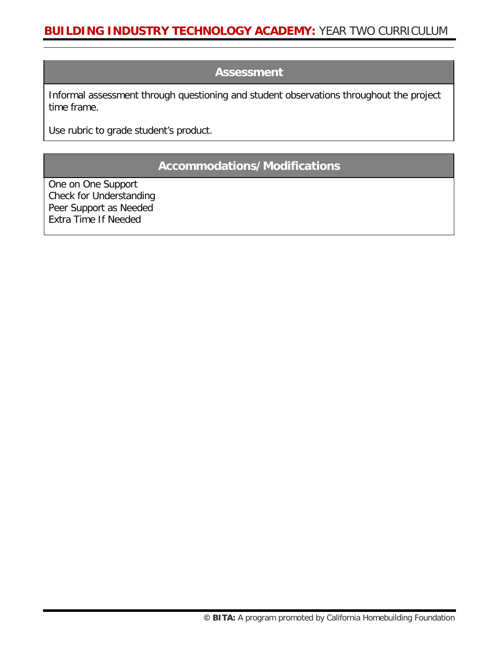#### **Assessment**

Informal assessment through questioning and student observations throughout the project time frame.

Use rubric to grade student's product.

## **Accommodations/Modifications**

One on One Support Check for Understanding Peer Support as Needed Extra Time If Needed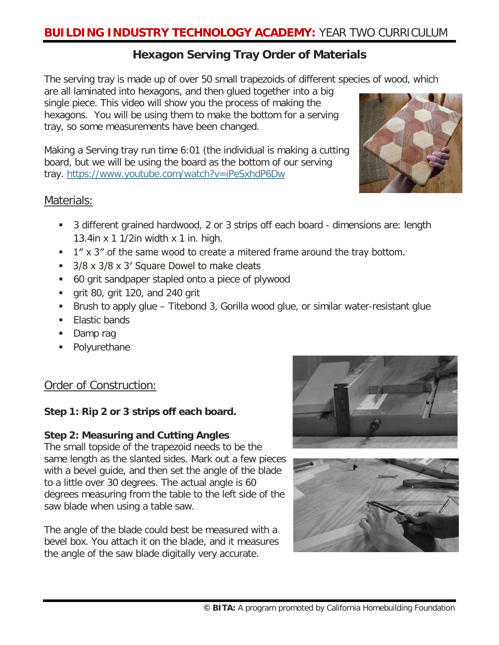## **Hexagon Serving Tray Order of Materials**

The serving tray is made up of over 50 small trapezoids of different species of wood, which

are all laminated into hexagons, and then glued together into a big single piece. This video will show you the process of making the hexagons. You will be using them to make the bottom for a serving tray, so some measurements have been changed.

Making a Serving tray run time 6:01 (the individual is making a cutting board, but we will be using the board as the bottom of our serving tray.<https://www.youtube.com/watch?v=iPeSxhdP6Dw>



- 3 different grained hardwood, 2 or 3 strips off each board dimensions are: length 13.4in x 1 1/2in width x 1 in. high.
- $1''$  x 3" of the same wood to create a mitered frame around the tray bottom.
- 3/8 x 3/8 x 3' Square Dowel to make cleats
- 60 grit sandpaper stapled onto a piece of plywood
- grit 80, grit 120, and 240 grit
- Brush to apply glue Titebond 3, Gorilla wood glue, or similar water-resistant glue
- **Elastic bands**
- Damp rag
- Polyurethane

## Order of Construction:

#### **Step 1: Rip 2 or 3 strips off each board.**

#### **Step 2: Measuring and Cutting Angles**

The small topside of the trapezoid needs to be the same length as the slanted sides. Mark out a few pieces with a bevel guide, and then set the angle of the blade to a little over 30 degrees. The actual angle is 60 degrees measuring from the table to the left side of the saw blade when using a table saw.

The angle of the blade could best be measured with a bevel box. You attach it on the blade, and it measures the angle of the saw blade digitally very accurate.





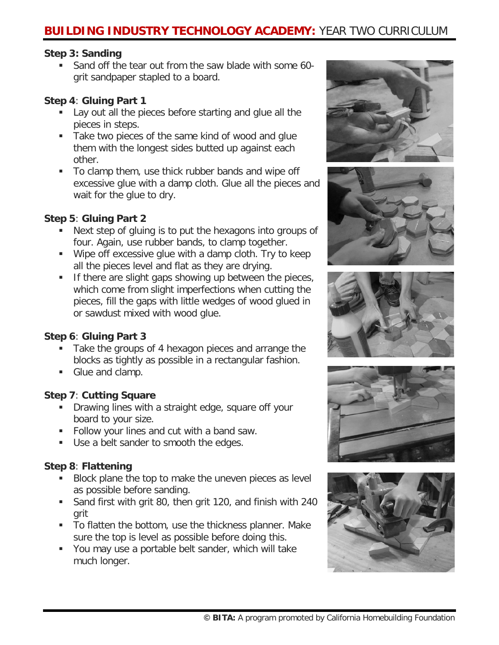## **BUILDING INDUSTRY TECHNOLOGY ACADEMY:** YEAR TWO CURRICULUM

#### **Step 3: Sanding**

Sand off the tear out from the saw blade with some 60grit sandpaper stapled to a board.

#### **Step 4**: **Gluing Part 1**

- Lay out all the pieces before starting and glue all the pieces in steps.
- Take two pieces of the same kind of wood and glue them with the longest sides butted up against each other.
- To clamp them, use thick rubber bands and wipe off excessive glue with a damp cloth. Glue all the pieces and wait for the glue to dry.

#### **Step 5**: **Gluing Part 2**

- Next step of gluing is to put the hexagons into groups of four. Again, use rubber bands, to clamp together.
- Wipe off excessive glue with a damp cloth. Try to keep all the pieces level and flat as they are drying.
- If there are slight gaps showing up between the pieces, which come from slight imperfections when cutting the pieces, fill the gaps with little wedges of wood glued in or sawdust mixed with wood glue.

#### **Step 6**: **Gluing Part 3**

- **Take the groups of 4 hexagon pieces and arrange the** blocks as tightly as possible in a rectangular fashion.
- Glue and clamp.

#### **Step 7**: **Cutting Square**

- **Drawing lines with a straight edge, square off your** board to your size.
- Follow your lines and cut with a band saw.
- Use a belt sander to smooth the edges.

#### **Step 8**: **Flattening**

- Block plane the top to make the uneven pieces as level as possible before sanding.
- Sand first with grit 80, then grit 120, and finish with 240 grit
- To flatten the bottom, use the thickness planner. Make sure the top is level as possible before doing this.
- You may use a portable belt sander, which will take much longer.









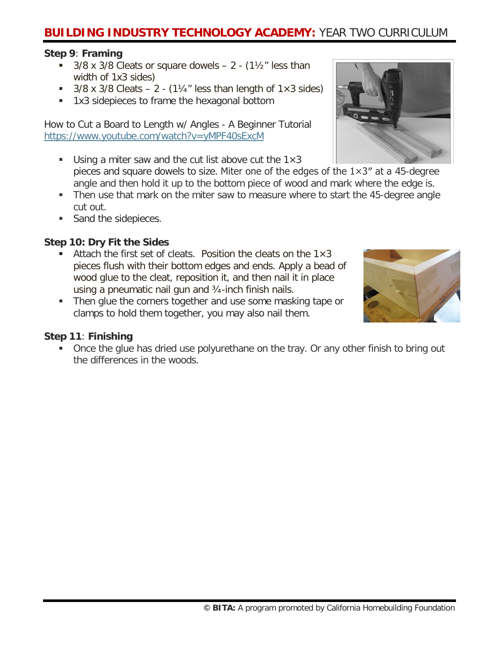## **BUILDING INDUSTRY TECHNOLOGY ACADEMY:** YEAR TWO CURRICULUM

#### **Step 9**: **Framing**

- 3/8 x 3/8 Cleats or square dowels  $2 (1\frac{1}{2})$  less than width of 1x3 sides)
- 3/8 x 3/8 Cleats  $2 (1\frac{1}{4}$ " less than length of  $1 \times 3$  sides)
- 1x3 sidepieces to frame the hexagonal bottom

How to Cut a Board to Length w/ Angles - A Beginner Tutorial <https://www.youtube.com/watch?v=yMPF40sExcM>

- Using a miter saw and the cut list above cut the  $1\times3$ pieces and square dowels to size. Miter one of the edges of the  $1\times3''$  at a 45-degree angle and then hold it up to the bottom piece of wood and mark where the edge is.
- Then use that mark on the miter saw to measure where to start the 45-degree angle cut out.
- Sand the sidepieces.

#### **Step 10: Dry Fit the Sides**

- Attach the first set of cleats. Position the cleats on the  $1\times3$ pieces flush with their bottom edges and ends. Apply a bead of wood glue to the cleat, reposition it, and then nail it in place using a pneumatic nail gun and ¾-inch finish nails.
- Then glue the corners together and use some masking tape or clamps to hold them together, you may also nail them.

#### **Step 11**: **Finishing**

**• Once the glue has dried use polyurethane on the tray. Or any other finish to bring out** the differences in the woods.



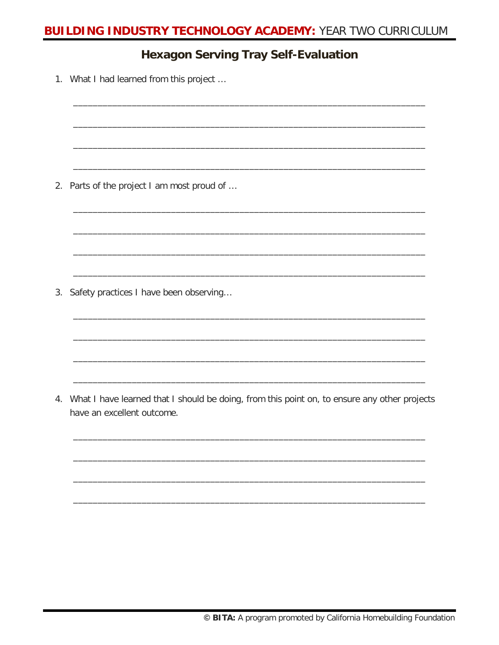## **BUILDING INDUSTRY TECHNOLOGY ACADEMY: YEAR TWO CURRICULUM**

## **Hexagon Serving Tray Self-Evaluation**

1. What I had learned from this project ...

2. Parts of the project I am most proud of ...

3. Safety practices I have been observing...

4. What I have learned that I should be doing, from this point on, to ensure any other projects have an excellent outcome.